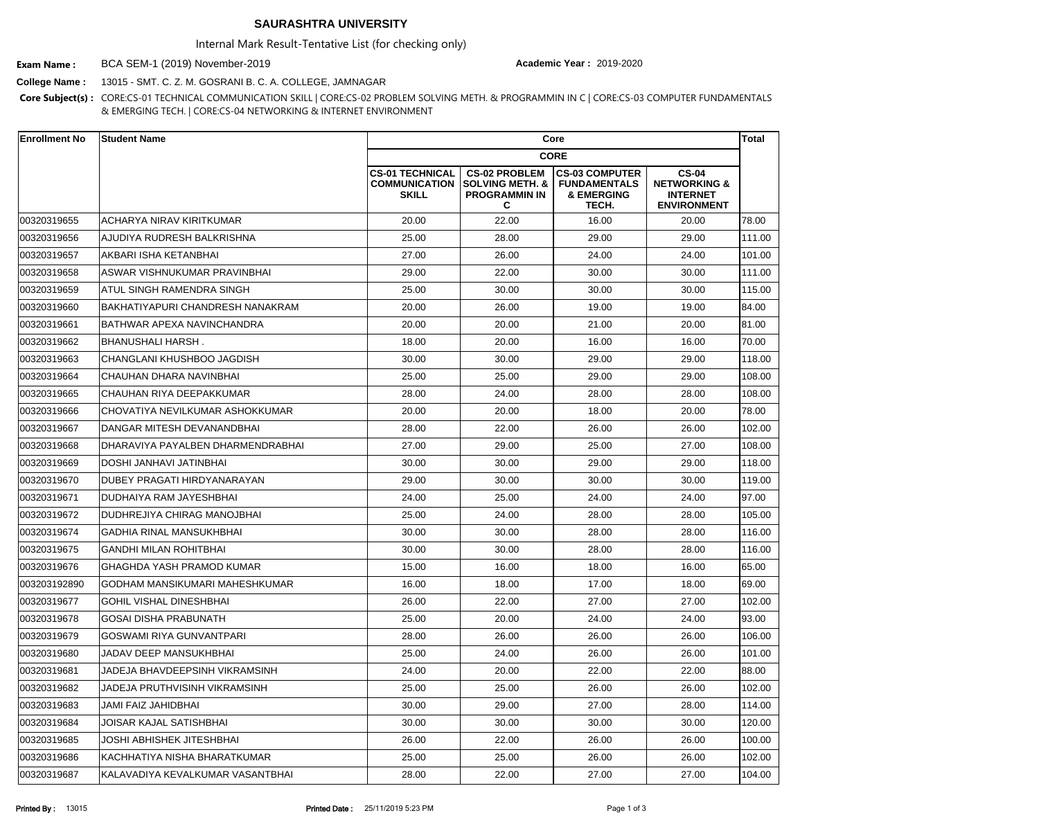## **SAURASHTRA UNIVERSITY**

Internal Mark Result-Tentative List (for checking only)

BCA SEM-1 (2019) November-2019 **Exam Name : Academic Year :** 2019-2020

**College Name :** 13015 - SMT. C. Z. M. GOSRANI B. C. A. COLLEGE, JAMNAGAR

**Core Subject(s) :** CORE:CS-01 TECHNICAL COMMUNICATION SKILL | CORE:CS-02 PROBLEM SOLVING METH. & PROGRAMMIN IN C | CORE:CS-03 COMPUTER FUNDAMENTALS & EMERGING TECH. | CORE:CS-04 NETWORKING & INTERNET ENVIRONMENT

| <b>Enrollment No</b> | <b>Student Name</b>                  | Core                                                           |                                                                                 |                                                                     |                                                                                  | <b>Total</b> |
|----------------------|--------------------------------------|----------------------------------------------------------------|---------------------------------------------------------------------------------|---------------------------------------------------------------------|----------------------------------------------------------------------------------|--------------|
|                      |                                      | <b>CORE</b>                                                    |                                                                                 |                                                                     |                                                                                  |              |
|                      |                                      | <b>CS-01 TECHNICAL</b><br><b>COMMUNICATION</b><br><b>SKILL</b> | <b>CS-02 PROBLEM</b><br><b>SOLVING METH. &amp;</b><br><b>PROGRAMMIN IN</b><br>C | <b>CS-03 COMPUTER</b><br><b>FUNDAMENTALS</b><br>& EMERGING<br>TECH. | <b>CS-04</b><br><b>NETWORKING &amp;</b><br><b>INTERNET</b><br><b>ENVIRONMENT</b> |              |
| 00320319655          | <b>ACHARYA NIRAV KIRITKUMAR</b>      | 20.00                                                          | 22.00                                                                           | 16.00                                                               | 20.00                                                                            | 78.00        |
| 00320319656          | AJUDIYA RUDRESH BALKRISHNA           | 25.00                                                          | 28.00                                                                           | 29.00                                                               | 29.00                                                                            | 111.00       |
| 00320319657          | AKBARI ISHA KETANBHAI                | 27.00                                                          | 26.00                                                                           | 24.00                                                               | 24.00                                                                            | 101.00       |
| 00320319658          | ASWAR VISHNUKUMAR PRAVINBHAI         | 29.00                                                          | 22.00                                                                           | 30.00                                                               | 30.00                                                                            | 111.00       |
| 00320319659          | <b>ATUL SINGH RAMENDRA SINGH</b>     | 25.00                                                          | 30.00                                                                           | 30.00                                                               | 30.00                                                                            | 115.00       |
| 00320319660          | BAKHATIYAPURI CHANDRESH NANAKRAM     | 20.00                                                          | 26.00                                                                           | 19.00                                                               | 19.00                                                                            | 84.00        |
| 00320319661          | IBATHWAR APEXA NAVINCHANDRA          | 20.00                                                          | 20.00                                                                           | 21.00                                                               | 20.00                                                                            | 81.00        |
| 00320319662          | <b>BHANUSHALI HARSH.</b>             | 18.00                                                          | 20.00                                                                           | 16.00                                                               | 16.00                                                                            | 70.00        |
| 00320319663          | CHANGLANI KHUSHBOO JAGDISH           | 30.00                                                          | 30.00                                                                           | 29.00                                                               | 29.00                                                                            | 118.00       |
| 00320319664          | İCHAUHAN DHARA NAVINBHAI             | 25.00                                                          | 25.00                                                                           | 29.00                                                               | 29.00                                                                            | 108.00       |
| 00320319665          | CHAUHAN RIYA DEEPAKKUMAR             | 28.00                                                          | 24.00                                                                           | 28.00                                                               | 28.00                                                                            | 108.00       |
| 00320319666          | ICHOVATIYA NEVILKUMAR ASHOKKUMAR     | 20.00                                                          | 20.00                                                                           | 18.00                                                               | 20.00                                                                            | 78.00        |
| 00320319667          | DANGAR MITESH DEVANANDBHAI           | 28.00                                                          | 22.00                                                                           | 26.00                                                               | 26.00                                                                            | 102.00       |
| 00320319668          | DHARAVIYA PAYALBEN DHARMENDRABHAI    | 27.00                                                          | 29.00                                                                           | 25.00                                                               | 27.00                                                                            | 108.00       |
| 00320319669          | IDOSHI JANHAVI JATINBHAI             | 30.00                                                          | 30.00                                                                           | 29.00                                                               | 29.00                                                                            | 118.00       |
| 00320319670          | IDUBEY PRAGATI HIRDYANARAYAN         | 29.00                                                          | 30.00                                                                           | 30.00                                                               | 30.00                                                                            | 119.00       |
| 00320319671          | DUDHAIYA RAM JAYESHBHAI              | 24.00                                                          | 25.00                                                                           | 24.00                                                               | 24.00                                                                            | 97.00        |
| 00320319672          | DUDHREJIYA CHIRAG MANOJBHAI          | 25.00                                                          | 24.00                                                                           | 28.00                                                               | 28.00                                                                            | 105.00       |
| 00320319674          | <b>GADHIA RINAL MANSUKHBHAI</b>      | 30.00                                                          | 30.00                                                                           | 28.00                                                               | 28.00                                                                            | 116.00       |
| 00320319675          | <b>GANDHI MILAN ROHITBHAI</b>        | 30.00                                                          | 30.00                                                                           | 28.00                                                               | 28.00                                                                            | 116.00       |
| 00320319676          | GHAGHDA YASH PRAMOD KUMAR            | 15.00                                                          | 16.00                                                                           | 18.00                                                               | 16.00                                                                            | 65.00        |
| 003203192890         | GODHAM MANSIKUMARI MAHESHKUMAR       | 16.00                                                          | 18.00                                                                           | 17.00                                                               | 18.00                                                                            | 69.00        |
| 00320319677          | <b>GOHIL VISHAL DINESHBHAI</b>       | 26.00                                                          | 22.00                                                                           | 27.00                                                               | 27.00                                                                            | 102.00       |
| 00320319678          | <b>GOSAI DISHA PRABUNATH</b>         | 25.00                                                          | 20.00                                                                           | 24.00                                                               | 24.00                                                                            | 93.00        |
| 00320319679          | <b>GOSWAMI RIYA GUNVANTPARI</b>      | 28.00                                                          | 26.00                                                                           | 26.00                                                               | 26.00                                                                            | 106.00       |
| 00320319680          | JADAV DEEP MANSUKHBHAI               | 25.00                                                          | 24.00                                                                           | 26.00                                                               | 26.00                                                                            | 101.00       |
| 00320319681          | JADEJA BHAVDEEPSINH VIKRAMSINH       | 24.00                                                          | 20.00                                                                           | 22.00                                                               | 22.00                                                                            | 88.00        |
| 00320319682          | <b>JADEJA PRUTHVISINH VIKRAMSINH</b> | 25.00                                                          | 25.00                                                                           | 26.00                                                               | 26.00                                                                            | 102.00       |
| 00320319683          | <b>JAMI FAIZ JAHIDBHAI</b>           | 30.00                                                          | 29.00                                                                           | 27.00                                                               | 28.00                                                                            | 114.00       |
| 00320319684          | JOISAR KAJAL SATISHBHAI              | 30.00                                                          | 30.00                                                                           | 30.00                                                               | 30.00                                                                            | 120.00       |
| 00320319685          | <b>JOSHI ABHISHEK JITESHBHAI</b>     | 26.00                                                          | 22.00                                                                           | 26.00                                                               | 26.00                                                                            | 100.00       |
| 00320319686          | KACHHATIYA NISHA BHARATKUMAR         | 25.00                                                          | 25.00                                                                           | 26.00                                                               | 26.00                                                                            | 102.00       |
| 00320319687          | KALAVADIYA KEVALKUMAR VASANTBHAI     | 28.00                                                          | 22.00                                                                           | 27.00                                                               | 27.00                                                                            | 104.00       |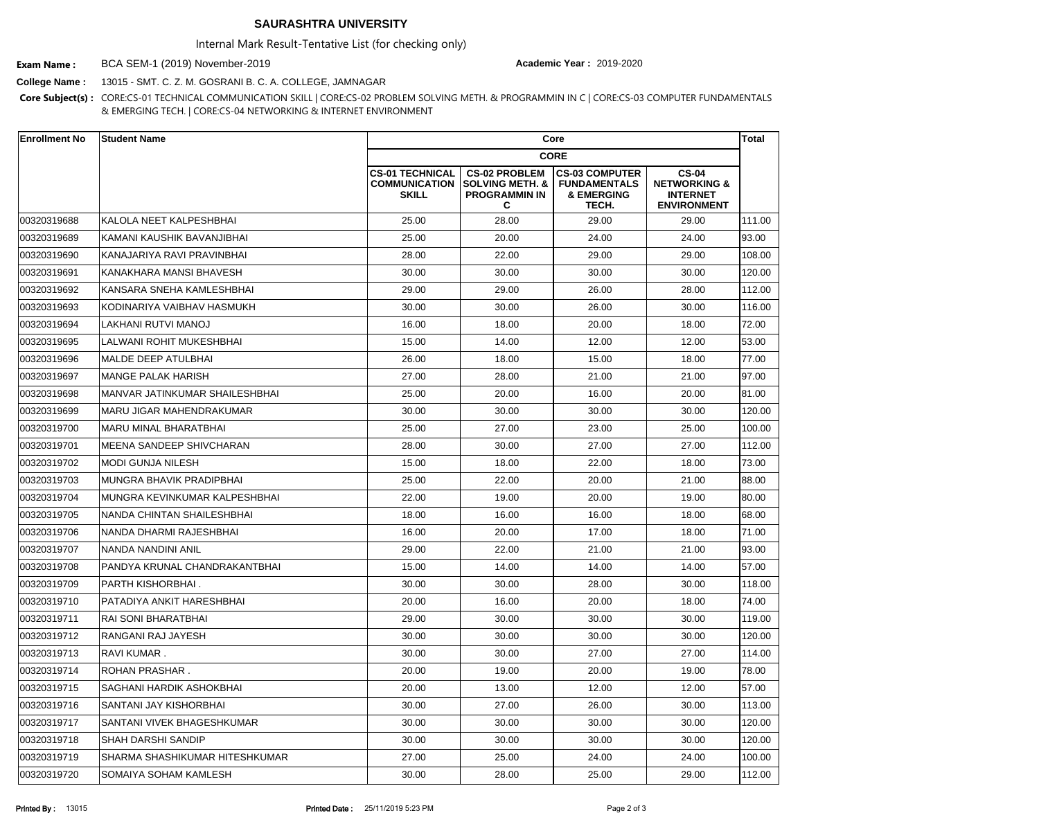## **SAURASHTRA UNIVERSITY**

Internal Mark Result-Tentative List (for checking only)

BCA SEM-1 (2019) November-2019 **Exam Name : Academic Year :** 2019-2020

**College Name :** 13015 - SMT. C. Z. M. GOSRANI B. C. A. COLLEGE, JAMNAGAR

**Core Subject(s) :** CORE:CS-01 TECHNICAL COMMUNICATION SKILL | CORE:CS-02 PROBLEM SOLVING METH. & PROGRAMMIN IN C | CORE:CS-03 COMPUTER FUNDAMENTALS & EMERGING TECH. | CORE:CS-04 NETWORKING & INTERNET ENVIRONMENT

| <b>Enrollment No</b> | <b>Student Name</b>                   | Core                                                           |                                                                                 |                                                                     |                                                                                  |        |
|----------------------|---------------------------------------|----------------------------------------------------------------|---------------------------------------------------------------------------------|---------------------------------------------------------------------|----------------------------------------------------------------------------------|--------|
|                      |                                       | <b>CORE</b>                                                    |                                                                                 |                                                                     |                                                                                  |        |
|                      |                                       | <b>CS-01 TECHNICAL</b><br><b>COMMUNICATION</b><br><b>SKILL</b> | <b>CS-02 PROBLEM</b><br><b>SOLVING METH. &amp;</b><br><b>PROGRAMMIN IN</b><br>C | <b>CS-03 COMPUTER</b><br><b>FUNDAMENTALS</b><br>& EMERGING<br>TECH. | <b>CS-04</b><br><b>NETWORKING &amp;</b><br><b>INTERNET</b><br><b>ENVIRONMENT</b> |        |
| 00320319688          | KALOLA NEET KALPESHBHAI               | 25.00                                                          | 28.00                                                                           | 29.00                                                               | 29.00                                                                            | 111.00 |
| 00320319689          | KAMANI KAUSHIK BAVANJIBHAI            | 25.00                                                          | 20.00                                                                           | 24.00                                                               | 24.00                                                                            | 93.00  |
| 00320319690          | KANAJARIYA RAVI PRAVINBHAI            | 28.00                                                          | 22.00                                                                           | 29.00                                                               | 29.00                                                                            | 108.00 |
| 00320319691          | KANAKHARA MANSI BHAVESH               | 30.00                                                          | 30.00                                                                           | 30.00                                                               | 30.00                                                                            | 120.00 |
| 00320319692          | KANSARA SNEHA KAMLESHBHAI             | 29.00                                                          | 29.00                                                                           | 26.00                                                               | 28.00                                                                            | 112.00 |
| 00320319693          | IKODINARIYA VAIBHAV HASMUKH           | 30.00                                                          | 30.00                                                                           | 26.00                                                               | 30.00                                                                            | 116.00 |
| 00320319694          | LAKHANI RUTVI MANOJ                   | 16.00                                                          | 18.00                                                                           | 20.00                                                               | 18.00                                                                            | 72.00  |
| 00320319695          | ILALWANI ROHIT MUKESHBHAI             | 15.00                                                          | 14.00                                                                           | 12.00                                                               | 12.00                                                                            | 53.00  |
| 00320319696          | MALDE DEEP ATULBHAI                   | 26.00                                                          | 18.00                                                                           | 15.00                                                               | 18.00                                                                            | 77.00  |
| 00320319697          | IMANGE PALAK HARISH                   | 27.00                                                          | 28.00                                                                           | 21.00                                                               | 21.00                                                                            | 97.00  |
| 00320319698          | MANVAR JATINKUMAR SHAILESHBHAI        | 25.00                                                          | 20.00                                                                           | 16.00                                                               | 20.00                                                                            | 81.00  |
| 00320319699          | IMARU JIGAR MAHENDRAKUMAR             | 30.00                                                          | 30.00                                                                           | 30.00                                                               | 30.00                                                                            | 120.00 |
| 00320319700          | MARU MINAL BHARATBHAI                 | 25.00                                                          | 27.00                                                                           | 23.00                                                               | 25.00                                                                            | 100.00 |
| 00320319701          | IMEENA SANDEEP SHIVCHARAN             | 28.00                                                          | 30.00                                                                           | 27.00                                                               | 27.00                                                                            | 112.00 |
| 00320319702          | MODI GUNJA NILESH                     | 15.00                                                          | 18.00                                                                           | 22.00                                                               | 18.00                                                                            | 73.00  |
| 00320319703          | MUNGRA BHAVIK PRADIPBHAI              | 25.00                                                          | 22.00                                                                           | 20.00                                                               | 21.00                                                                            | 88.00  |
| 00320319704          | MUNGRA KEVINKUMAR KALPESHBHAI         | 22.00                                                          | 19.00                                                                           | 20.00                                                               | 19.00                                                                            | 80.00  |
| 00320319705          | NANDA CHINTAN SHAILESHBHAI            | 18.00                                                          | 16.00                                                                           | 16.00                                                               | 18.00                                                                            | 68.00  |
| 00320319706          | NANDA DHARMI RAJESHBHAI               | 16.00                                                          | 20.00                                                                           | 17.00                                                               | 18.00                                                                            | 71.00  |
| 00320319707          | NANDA NANDINI ANIL                    | 29.00                                                          | 22.00                                                                           | 21.00                                                               | 21.00                                                                            | 93.00  |
| 00320319708          | <b>PANDYA KRUNAL CHANDRAKANTBHAI</b>  | 15.00                                                          | 14.00                                                                           | 14.00                                                               | 14.00                                                                            | 57.00  |
| 00320319709          | PARTH KISHORBHAI.                     | 30.00                                                          | 30.00                                                                           | 28.00                                                               | 30.00                                                                            | 118.00 |
| 00320319710          | PATADIYA ANKIT HARESHBHAI             | 20.00                                                          | 16.00                                                                           | 20.00                                                               | 18.00                                                                            | 74.00  |
| 00320319711          | RAI SONI BHARATBHAI                   | 29.00                                                          | 30.00                                                                           | 30.00                                                               | 30.00                                                                            | 119.00 |
| 00320319712          | RANGANI RAJ JAYESH                    | 30.00                                                          | 30.00                                                                           | 30.00                                                               | 30.00                                                                            | 120.00 |
| 00320319713          | <b>RAVI KUMAR.</b>                    | 30.00                                                          | 30.00                                                                           | 27.00                                                               | 27.00                                                                            | 114.00 |
| 00320319714          | ROHAN PRASHAR .                       | 20.00                                                          | 19.00                                                                           | 20.00                                                               | 19.00                                                                            | 78.00  |
| 00320319715          | <b>SAGHANI HARDIK ASHOKBHAI</b>       | 20.00                                                          | 13.00                                                                           | 12.00                                                               | 12.00                                                                            | 57.00  |
| 00320319716          | <b>SANTANI JAY KISHORBHAI</b>         | 30.00                                                          | 27.00                                                                           | 26.00                                                               | 30.00                                                                            | 113.00 |
| 00320319717          | SANTANI VIVEK BHAGESHKUMAR            | 30.00                                                          | 30.00                                                                           | 30.00                                                               | 30.00                                                                            | 120.00 |
| 00320319718          | <b>SHAH DARSHI SANDIP</b>             | 30.00                                                          | 30.00                                                                           | 30.00                                                               | 30.00                                                                            | 120.00 |
| 00320319719          | <b>SHARMA SHASHIKUMAR HITESHKUMAR</b> | 27.00                                                          | 25.00                                                                           | 24.00                                                               | 24.00                                                                            | 100.00 |
| 00320319720          | SOMAIYA SOHAM KAMLESH                 | 30.00                                                          | 28.00                                                                           | 25.00                                                               | 29.00                                                                            | 112.00 |